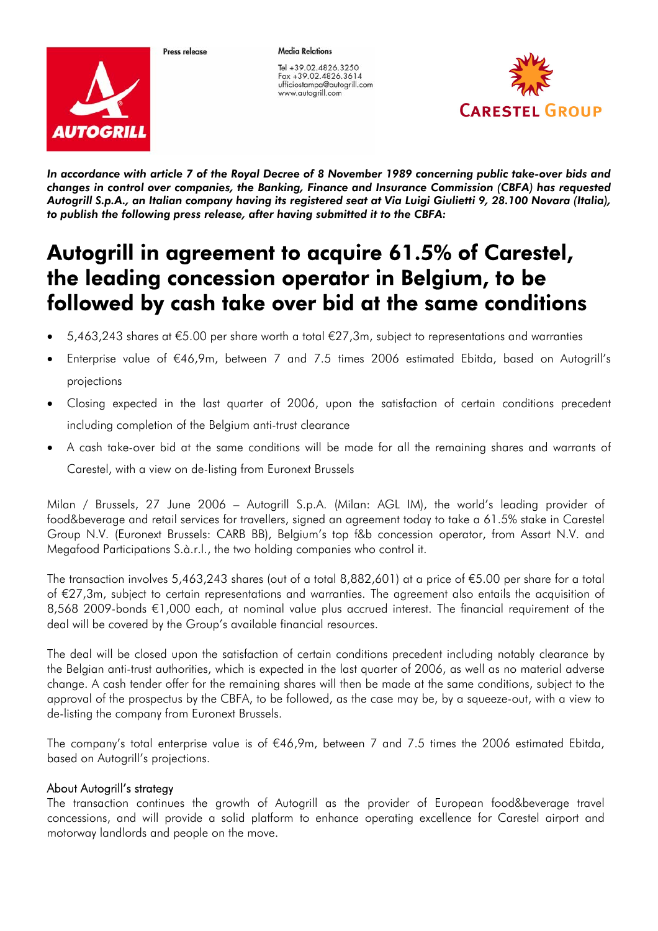

Proce release

Tel +39.02.4826.3250 Fox +39.02.4826.3614 ufficiostampa@autogrill.com www.autogrill.com

**Media Relations** 



*In accordance with article 7 of the Royal Decree of 8 November 1989 concerning public take-over bids and changes in control over companies, the Banking, Finance and Insurance Commission (CBFA) has requested Autogrill S.p.A., an Italian company having its registered seat at Via Luigi Giulietti 9, 28.100 Novara (Italia), to publish the following press release, after having submitted it to the CBFA:* 

# Autogrill in agreement to acquire 61.5% of Carestel, the leading concession operator in Belgium, to be followed by cash take over bid at the same conditions

- 5,463,243 shares at €5.00 per share worth a total €27,3m, subject to representations and warranties
- Enterprise value of €46,9m, between 7 and 7.5 times 2006 estimated Ebitda, based on Autogrill's projections
- Closing expected in the last quarter of 2006, upon the satisfaction of certain conditions precedent including completion of the Belgium anti-trust clearance
- A cash take-over bid at the same conditions will be made for all the remaining shares and warrants of Carestel, with a view on de-listing from Euronext Brussels

Milan / Brussels, 27 June 2006 – Autogrill S.p.A. (Milan: AGL IM), the world's leading provider of food&beverage and retail services for travellers, signed an agreement today to take a 61.5% stake in Carestel Group N.V. (Euronext Brussels: CARB BB), Belgium's top f&b concession operator, from Assart N.V. and Megafood Participations S.à.r.l., the two holding companies who control it.

The transaction involves 5,463,243 shares (out of a total 8,882,601) at a price of €5.00 per share for a total of €27,3m, subject to certain representations and warranties. The agreement also entails the acquisition of 8,568 2009-bonds €1,000 each, at nominal value plus accrued interest. The financial requirement of the deal will be covered by the Group's available financial resources.

The deal will be closed upon the satisfaction of certain conditions precedent including notably clearance by the Belgian anti-trust authorities, which is expected in the last quarter of 2006, as well as no material adverse change. A cash tender offer for the remaining shares will then be made at the same conditions, subject to the approval of the prospectus by the CBFA, to be followed, as the case may be, by a squeeze-out, with a view to de-listing the company from Euronext Brussels.

The company's total enterprise value is of €46,9m, between 7 and 7.5 times the 2006 estimated Ebitda, based on Autogrill's projections.

## About Autogrill's strategy

The transaction continues the growth of Autogrill as the provider of European food&beverage travel concessions, and will provide a solid platform to enhance operating excellence for Carestel airport and motorway landlords and people on the move.